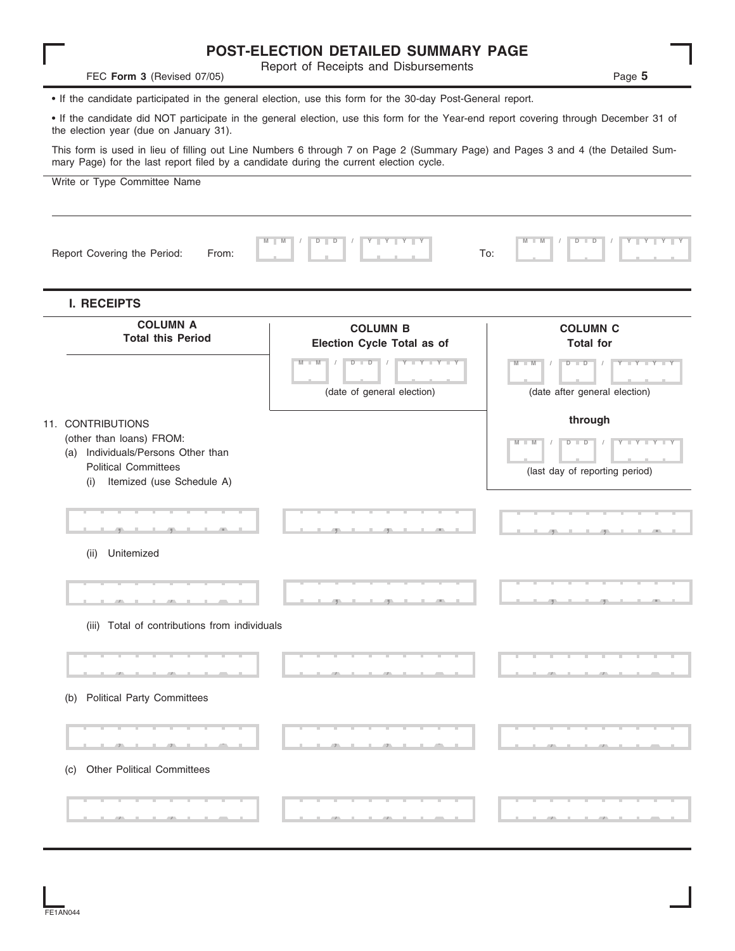|                                                                                                                                                                                                                           | POST-ELECTION DETAILED SUMMARY PAGE                                                       |                                                                                          |
|---------------------------------------------------------------------------------------------------------------------------------------------------------------------------------------------------------------------------|-------------------------------------------------------------------------------------------|------------------------------------------------------------------------------------------|
| FEC Form 3 (Revised 07/05)                                                                                                                                                                                                | Report of Receipts and Disbursements                                                      | Page 5                                                                                   |
| • If the candidate participated in the general election, use this form for the 30-day Post-General report.                                                                                                                |                                                                                           |                                                                                          |
| • If the candidate did NOT participate in the general election, use this form for the Year-end report covering through December 31 of<br>the election year (due on January 31).                                           |                                                                                           |                                                                                          |
| This form is used in lieu of filling out Line Numbers 6 through 7 on Page 2 (Summary Page) and Pages 3 and 4 (the Detailed Sum-<br>mary Page) for the last report filed by a candidate during the current election cycle. |                                                                                           |                                                                                          |
| Write or Type Committee Name                                                                                                                                                                                              |                                                                                           |                                                                                          |
| Report Covering the Period:<br>From:                                                                                                                                                                                      | $D$ $D$                                                                                   | $Y - Y - Y -$<br>$D$ $D$<br>To:                                                          |
| <b>I. RECEIPTS</b>                                                                                                                                                                                                        |                                                                                           |                                                                                          |
| <b>COLUMN A</b><br><b>Total this Period</b>                                                                                                                                                                               | <b>COLUMN B</b><br>Election Cycle Total as of                                             | <b>COLUMN C</b><br><b>Total for</b>                                                      |
|                                                                                                                                                                                                                           | $Y - Y - Y - Y - I - Y$<br>$D$ $D$<br>$M$ $M$<br>$\sqrt{2}$<br>(date of general election) | $Y - Y - Y - Y - Y$<br>W<br>$D$ $D$<br>(date after general election)                     |
| 11. CONTRIBUTIONS<br>(other than loans) FROM:<br>(a) Individuals/Persons Other than<br><b>Political Committees</b><br>Itemized (use Schedule A)<br>(i)                                                                    |                                                                                           | through<br>$Y + Y$<br>M<br>$\blacksquare$ M<br>$D$ $D$<br>(last day of reporting period) |
| Unitemized<br>(ii)                                                                                                                                                                                                        |                                                                                           |                                                                                          |
|                                                                                                                                                                                                                           |                                                                                           |                                                                                          |
| (iii) Total of contributions from individuals                                                                                                                                                                             |                                                                                           |                                                                                          |
|                                                                                                                                                                                                                           |                                                                                           |                                                                                          |
| <b>Political Party Committees</b><br>(b)                                                                                                                                                                                  |                                                                                           |                                                                                          |
|                                                                                                                                                                                                                           |                                                                                           |                                                                                          |
| <b>Other Political Committees</b><br>(C)                                                                                                                                                                                  |                                                                                           |                                                                                          |

 $\frac{1}{2}$ 

| 044<br>F1 AN<br>E |
|-------------------|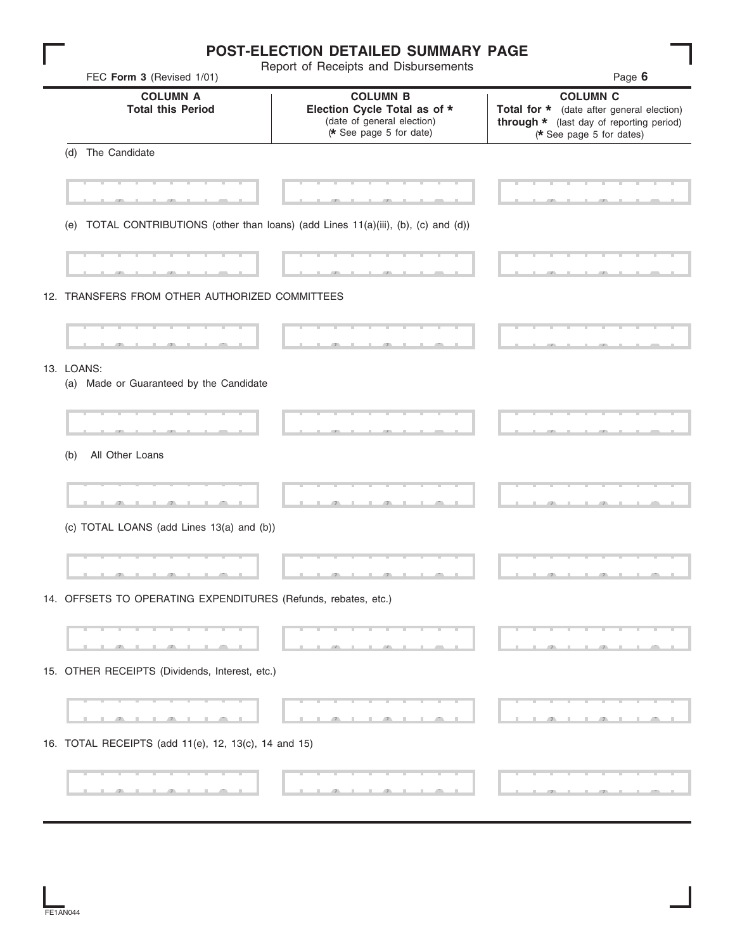|                                                                                     | <b>POST-ELECTION DETAILED SUMMARY PAGE</b>                                                               |                                                                                                                                      |
|-------------------------------------------------------------------------------------|----------------------------------------------------------------------------------------------------------|--------------------------------------------------------------------------------------------------------------------------------------|
| FEC Form 3 (Revised 1/01)                                                           | Report of Receipts and Disbursements                                                                     | Page 6                                                                                                                               |
| <b>COLUMN A</b><br><b>Total this Period</b>                                         | <b>COLUMN B</b><br>Election Cycle Total as of *<br>(date of general election)<br>(* See page 5 for date) | <b>COLUMN C</b><br>Total for * (date after general election)<br>through * (last day of reporting period)<br>(* See page 5 for dates) |
| The Candidate<br>(d)                                                                |                                                                                                          |                                                                                                                                      |
|                                                                                     |                                                                                                          |                                                                                                                                      |
| (e) TOTAL CONTRIBUTIONS (other than loans) (add Lines 11(a)(iii), (b), (c) and (d)) |                                                                                                          |                                                                                                                                      |
|                                                                                     |                                                                                                          |                                                                                                                                      |
| 12. TRANSFERS FROM OTHER AUTHORIZED COMMITTEES                                      |                                                                                                          |                                                                                                                                      |
|                                                                                     |                                                                                                          |                                                                                                                                      |
|                                                                                     |                                                                                                          |                                                                                                                                      |
| 13. LOANS:<br>(a) Made or Guaranteed by the Candidate                               |                                                                                                          |                                                                                                                                      |
|                                                                                     |                                                                                                          |                                                                                                                                      |
| All Other Loans<br>(b)                                                              |                                                                                                          |                                                                                                                                      |
|                                                                                     |                                                                                                          |                                                                                                                                      |
| (c) TOTAL LOANS (add Lines 13(a) and (b))                                           |                                                                                                          |                                                                                                                                      |
|                                                                                     |                                                                                                          |                                                                                                                                      |
|                                                                                     |                                                                                                          |                                                                                                                                      |
| 14. OFFSETS TO OPERATING EXPENDITURES (Refunds, rebates, etc.)                      |                                                                                                          |                                                                                                                                      |
|                                                                                     |                                                                                                          |                                                                                                                                      |
|                                                                                     |                                                                                                          |                                                                                                                                      |
| 15. OTHER RECEIPTS (Dividends, Interest, etc.)                                      |                                                                                                          |                                                                                                                                      |
|                                                                                     |                                                                                                          |                                                                                                                                      |
|                                                                                     |                                                                                                          |                                                                                                                                      |
| 16. TOTAL RECEIPTS (add 11(e), 12, 13(c), 14 and 15)                                |                                                                                                          |                                                                                                                                      |
|                                                                                     |                                                                                                          |                                                                                                                                      |
|                                                                                     |                                                                                                          |                                                                                                                                      |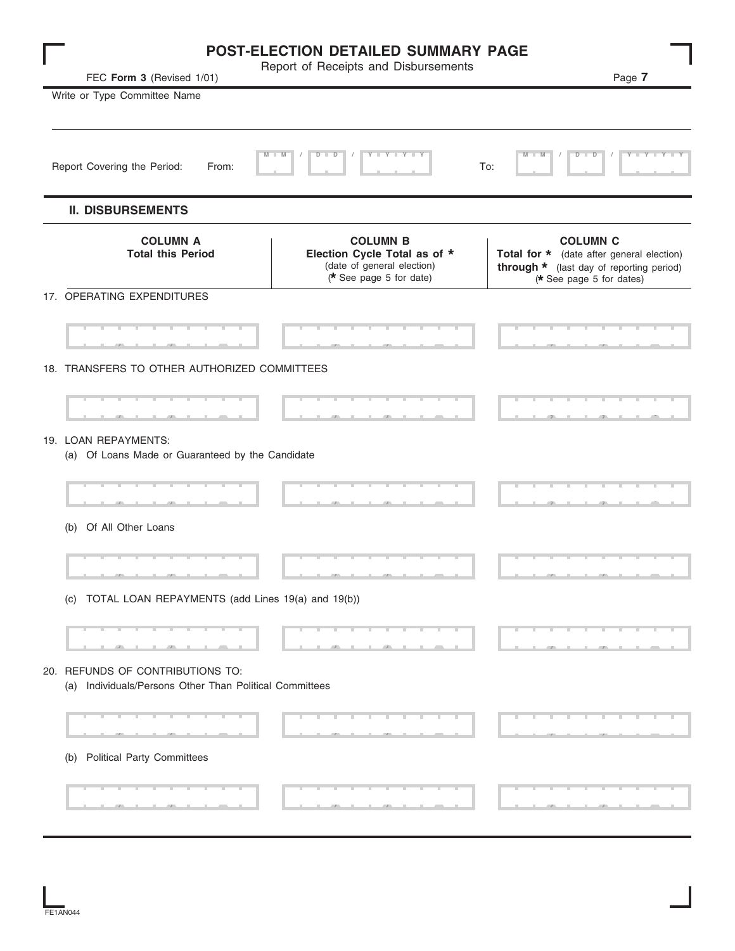|                                                                                             | POST-ELECTION DETAILED SUMMARY PAGE<br>Report of Receipts and Disbursements                              |                                                                                                                                      |
|---------------------------------------------------------------------------------------------|----------------------------------------------------------------------------------------------------------|--------------------------------------------------------------------------------------------------------------------------------------|
| FEC Form 3 (Revised 1/01)                                                                   |                                                                                                          | Page 7                                                                                                                               |
| Write or Type Committee Name                                                                |                                                                                                          |                                                                                                                                      |
|                                                                                             |                                                                                                          |                                                                                                                                      |
| $M - 1$<br>Report Covering the Period:<br>From:                                             | Y TYTTYT<br>$D - I$<br>$\overline{D}$                                                                    | M<br>$D$ $D$<br>Y I Y I Y I Y<br>$\blacksquare$ M<br>To:                                                                             |
| <b>II. DISBURSEMENTS</b>                                                                    |                                                                                                          |                                                                                                                                      |
| <b>COLUMN A</b><br><b>Total this Period</b>                                                 | <b>COLUMN B</b><br>Election Cycle Total as of *<br>(date of general election)<br>(* See page 5 for date) | <b>COLUMN C</b><br>Total for * (date after general election)<br>through * (last day of reporting period)<br>(* See page 5 for dates) |
| 17. OPERATING EXPENDITURES                                                                  |                                                                                                          |                                                                                                                                      |
|                                                                                             |                                                                                                          |                                                                                                                                      |
| 18. TRANSFERS TO OTHER AUTHORIZED COMMITTEES                                                |                                                                                                          |                                                                                                                                      |
|                                                                                             |                                                                                                          |                                                                                                                                      |
|                                                                                             |                                                                                                          |                                                                                                                                      |
| 19. LOAN REPAYMENTS:<br>(a) Of Loans Made or Guaranteed by the Candidate                    |                                                                                                          |                                                                                                                                      |
|                                                                                             |                                                                                                          |                                                                                                                                      |
|                                                                                             |                                                                                                          |                                                                                                                                      |
| (b) Of All Other Loans                                                                      |                                                                                                          |                                                                                                                                      |
|                                                                                             |                                                                                                          |                                                                                                                                      |
| (c) TOTAL LOAN REPAYMENTS (add Lines 19(a) and 19(b))                                       |                                                                                                          |                                                                                                                                      |
|                                                                                             |                                                                                                          |                                                                                                                                      |
|                                                                                             |                                                                                                          |                                                                                                                                      |
| 20. REFUNDS OF CONTRIBUTIONS TO:<br>(a) Individuals/Persons Other Than Political Committees |                                                                                                          |                                                                                                                                      |
|                                                                                             |                                                                                                          |                                                                                                                                      |
|                                                                                             |                                                                                                          |                                                                                                                                      |
| (b) Political Party Committees                                                              |                                                                                                          |                                                                                                                                      |
|                                                                                             |                                                                                                          |                                                                                                                                      |
|                                                                                             |                                                                                                          |                                                                                                                                      |